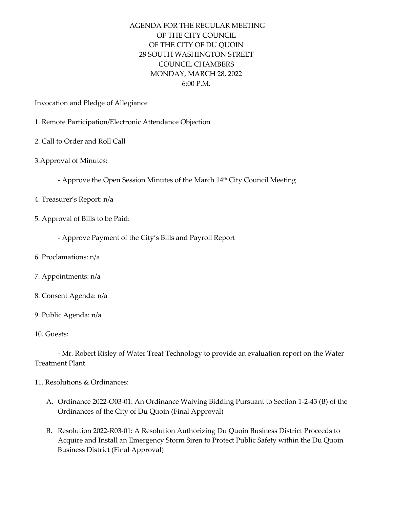## AGENDA FOR THE REGULAR MEETING OF THE CITY COUNCIL OF THE CITY OF DU QUOIN 28 SOUTH WASHINGTON STREET COUNCIL CHAMBERS MONDAY, MARCH 28, 2022 6:00 P.M.

Invocation and Pledge of Allegiance

- 1. Remote Participation/Electronic Attendance Objection
- 2. Call to Order and Roll Call
- 3.Approval of Minutes:
	- Approve the Open Session Minutes of the March 14<sup>th</sup> City Council Meeting
- 4. Treasurer's Report: n/a
- 5. Approval of Bills to be Paid:
	- Approve Payment of the City's Bills and Payroll Report
- 6. Proclamations: n/a
- 7. Appointments: n/a
- 8. Consent Agenda: n/a
- 9. Public Agenda: n/a
- 10. Guests:

- Mr. Robert Risley of Water Treat Technology to provide an evaluation report on the Water Treatment Plant

- 11. Resolutions & Ordinances:
	- A. Ordinance 2022-O03-01: An Ordinance Waiving Bidding Pursuant to Section 1-2-43 (B) of the Ordinances of the City of Du Quoin (Final Approval)
	- B. Resolution 2022-R03-01: A Resolution Authorizing Du Quoin Business District Proceeds to Acquire and Install an Emergency Storm Siren to Protect Public Safety within the Du Quoin Business District (Final Approval)